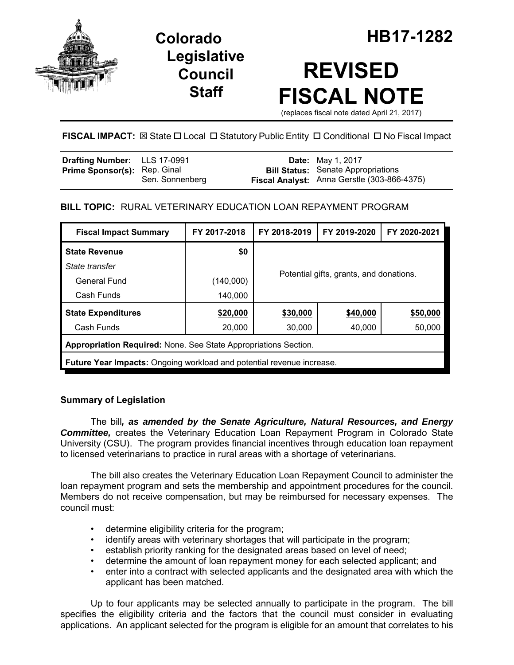

**Legislative Council Staff**

# **REVISED FISCAL NOTE**

(replaces fiscal note dated April 21, 2017)

# FISCAL IMPACT:  $\boxtimes$  State  $\Box$  Local  $\Box$  Statutory Public Entity  $\Box$  Conditional  $\Box$  No Fiscal Impact

| Drafting Number: LLS 17-0991        |                 | <b>Date:</b> May 1, 2017                    |
|-------------------------------------|-----------------|---------------------------------------------|
| <b>Prime Sponsor(s): Rep. Ginal</b> |                 | <b>Bill Status:</b> Senate Appropriations   |
|                                     | Sen. Sonnenberg | Fiscal Analyst: Anna Gerstle (303-866-4375) |

# **BILL TOPIC:** RURAL VETERINARY EDUCATION LOAN REPAYMENT PROGRAM

| <b>Fiscal Impact Summary</b>                                                 | FY 2017-2018 | FY 2018-2019                            | FY 2019-2020 | FY 2020-2021 |  |  |  |
|------------------------------------------------------------------------------|--------------|-----------------------------------------|--------------|--------------|--|--|--|
| <b>State Revenue</b>                                                         | \$0          |                                         |              |              |  |  |  |
| State transfer                                                               |              |                                         |              |              |  |  |  |
| General Fund                                                                 | (140,000)    | Potential gifts, grants, and donations. |              |              |  |  |  |
| Cash Funds                                                                   | 140,000      |                                         |              |              |  |  |  |
| <b>State Expenditures</b>                                                    | \$20,000     | \$30,000                                | \$40,000     | \$50,000     |  |  |  |
| Cash Funds                                                                   | 20,000       | 30,000                                  | 40,000       | 50,000       |  |  |  |
| Appropriation Required: None. See State Appropriations Section.              |              |                                         |              |              |  |  |  |
| <b>Future Year Impacts:</b> Ongoing workload and potential revenue increase. |              |                                         |              |              |  |  |  |

## **Summary of Legislation**

The bill*, as amended by the Senate Agriculture, Natural Resources, and Energy Committee,* creates the Veterinary Education Loan Repayment Program in Colorado State University (CSU). The program provides financial incentives through education loan repayment to licensed veterinarians to practice in rural areas with a shortage of veterinarians.

The bill also creates the Veterinary Education Loan Repayment Council to administer the loan repayment program and sets the membership and appointment procedures for the council. Members do not receive compensation, but may be reimbursed for necessary expenses. The council must:

- determine eligibility criteria for the program;
- identify areas with veterinary shortages that will participate in the program;
- establish priority ranking for the designated areas based on level of need;
- determine the amount of loan repayment money for each selected applicant; and
- enter into a contract with selected applicants and the designated area with which the applicant has been matched.

Up to four applicants may be selected annually to participate in the program. The bill specifies the eligibility criteria and the factors that the council must consider in evaluating applications. An applicant selected for the program is eligible for an amount that correlates to his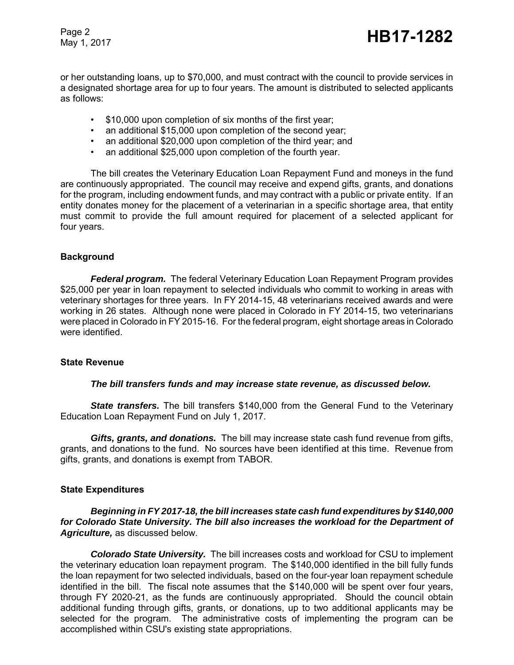Page 2

or her outstanding loans, up to \$70,000, and must contract with the council to provide services in a designated shortage area for up to four years. The amount is distributed to selected applicants as follows:

- \$10,000 upon completion of six months of the first year;
- an additional \$15,000 upon completion of the second year;
- an additional \$20,000 upon completion of the third year; and
- an additional \$25,000 upon completion of the fourth year.

The bill creates the Veterinary Education Loan Repayment Fund and moneys in the fund are continuously appropriated. The council may receive and expend gifts, grants, and donations for the program, including endowment funds, and may contract with a public or private entity. If an entity donates money for the placement of a veterinarian in a specific shortage area, that entity must commit to provide the full amount required for placement of a selected applicant for four years.

## **Background**

*Federal program.* The federal Veterinary Education Loan Repayment Program provides \$25,000 per year in loan repayment to selected individuals who commit to working in areas with veterinary shortages for three years. In FY 2014-15, 48 veterinarians received awards and were working in 26 states. Although none were placed in Colorado in FY 2014-15, two veterinarians were placed in Colorado in FY 2015-16. For the federal program, eight shortage areas in Colorado were identified.

#### **State Revenue**

#### *The bill transfers funds and may increase state revenue, as discussed below.*

**State transfers.** The bill transfers \$140,000 from the General Fund to the Veterinary Education Loan Repayment Fund on July 1, 2017.

*Gifts, grants, and donations.* The bill may increase state cash fund revenue from gifts, grants, and donations to the fund. No sources have been identified at this time. Revenue from gifts, grants, and donations is exempt from TABOR.

## **State Expenditures**

*Beginning in FY 2017-18, the bill increases state cash fund expenditures by \$140,000 for Colorado State University. The bill also increases the workload for the Department of Agriculture,* as discussed below.

*Colorado State University.* The bill increases costs and workload for CSU to implement the veterinary education loan repayment program. The \$140,000 identified in the bill fully funds the loan repayment for two selected individuals, based on the four-year loan repayment schedule identified in the bill. The fiscal note assumes that the \$140,000 will be spent over four years, through FY 2020-21, as the funds are continuously appropriated. Should the council obtain additional funding through gifts, grants, or donations, up to two additional applicants may be selected for the program. The administrative costs of implementing the program can be accomplished within CSU's existing state appropriations.